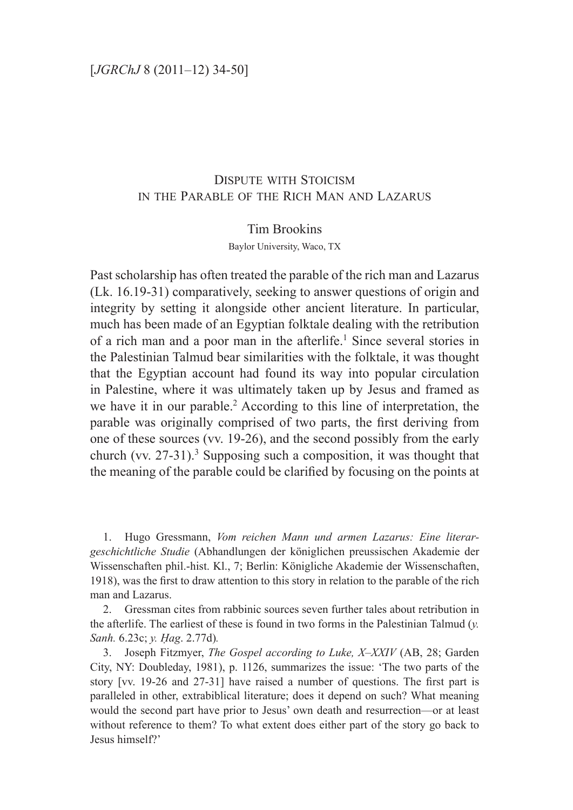## Dispute with Stoicism in the Parable of the Rich Man and Lazarus

### Tim Brookins

Baylor University, Waco, TX

Past scholarship has often treated the parable of the rich man and Lazarus (Lk. 16.19-31) comparatively, seeking to answer questions of origin and integrity by setting it alongside other ancient literature. In particular, much has been made of an Egyptian folktale dealing with the retribution of a rich man and a poor man in the afterlife.<sup>1</sup> Since several stories in the Palestinian Talmud bear similarities with the folktale, it was thought that the Egyptian account had found its way into popular circulation in Palestine, where it was ultimately taken up by Jesus and framed as we have it in our parable.<sup>2</sup> According to this line of interpretation, the parable was originally comprised of two parts, the first deriving from one of these sources (vv. 19-26), and the second possibly from the early church (vv.  $27-31$ ).<sup>3</sup> Supposing such a composition, it was thought that the meaning of the parable could be clarified by focusing on the points at

1. Hugo Gressmann, *Vom reichen Mann und armen Lazarus: Eine literargeschichtliche Studie* (Abhandlungen der königlichen preussischen Akademie der Wissenschaften phil.-hist. Kl., 7; Berlin: Königliche Akademie der Wissenschaften, 1918), was the first to draw attention to this story in relation to the parable of the rich man and Lazarus.

2. Gressman cites from rabbinic sources seven further tales about retribution in the afterlife. The earliest of these is found in two forms in the Palestinian Talmud (*y. Sanh.* 6.23c; *y. Ḥag*. 2.77d)*.*

3. Joseph Fitzmyer, *The Gospel according to Luke, X–XXIV* (AB, 28; Garden City, NY: Doubleday, 1981), p. 1126, summarizes the issue: 'The two parts of the story [vv. 19-26 and 27-31] have raised a number of questions. The first part is paralleled in other, extrabiblical literature; does it depend on such? What meaning would the second part have prior to Jesus' own death and resurrection—or at least without reference to them? To what extent does either part of the story go back to Jesus himself?'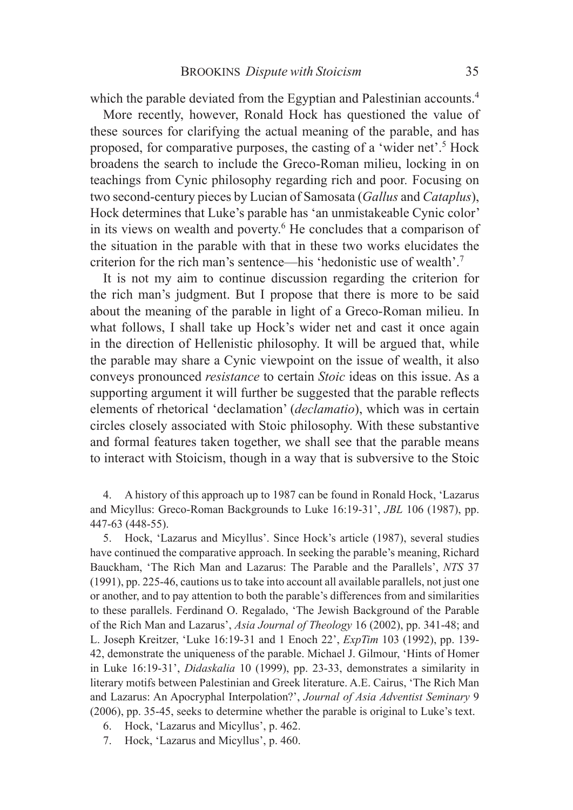which the parable deviated from the Egyptian and Palestinian accounts.<sup>4</sup>

More recently, however, Ronald Hock has questioned the value of these sources for clarifying the actual meaning of the parable, and has proposed, for comparative purposes, the casting of a 'wider net'.<sup>5</sup> Hock broadens the search to include the Greco-Roman milieu, locking in on teachings from Cynic philosophy regarding rich and poor*.* Focusing on two second-century pieces by Lucian of Samosata (*Gallus* and *Cataplus*), Hock determines that Luke's parable has 'an unmistakeable Cynic color' in its views on wealth and poverty.<sup>6</sup> He concludes that a comparison of the situation in the parable with that in these two works elucidates the criterion for the rich man's sentence—his 'hedonistic use of wealth'.7

It is not my aim to continue discussion regarding the criterion for the rich man's judgment. But I propose that there is more to be said about the meaning of the parable in light of a Greco-Roman milieu. In what follows, I shall take up Hock's wider net and cast it once again in the direction of Hellenistic philosophy. It will be argued that, while the parable may share a Cynic viewpoint on the issue of wealth, it also conveys pronounced *resistance* to certain *Stoic* ideas on this issue. As a supporting argument it will further be suggested that the parable reflects elements of rhetorical 'declamation' (*declamatio*), which was in certain circles closely associated with Stoic philosophy. With these substantive and formal features taken together, we shall see that the parable means to interact with Stoicism, though in a way that is subversive to the Stoic

4. A history of this approach up to 1987 can be found in Ronald Hock, 'Lazarus and Micyllus: Greco-Roman Backgrounds to Luke 16:19-31', *JBL* 106 (1987), pp. 447-63 (448-55).

5. Hock, 'Lazarus and Micyllus'. Since Hock's article (1987), several studies have continued the comparative approach. In seeking the parable's meaning, Richard Bauckham, 'The Rich Man and Lazarus: The Parable and the Parallels', *NTS* 37 (1991), pp. 225-46, cautions us to take into account all available parallels, not just one or another, and to pay attention to both the parable's differences from and similarities to these parallels. Ferdinand O. Regalado, 'The Jewish Background of the Parable of the Rich Man and Lazarus', *Asia Journal of Theology* 16 (2002), pp. 341-48; and L. Joseph Kreitzer, 'Luke 16:19-31 and 1 Enoch 22', *ExpTim* 103 (1992), pp. 139- 42, demonstrate the uniqueness of the parable. Michael J. Gilmour, 'Hints of Homer in Luke 16:19-31', *Didaskalia* 10 (1999), pp. 23-33, demonstrates a similarity in literary motifs between Palestinian and Greek literature. A.E. Cairus, 'The Rich Man and Lazarus: An Apocryphal Interpolation?', *Journal of Asia Adventist Seminary* 9 (2006), pp. 35-45, seeks to determine whether the parable is original to Luke's text.

- 6. Hock, 'Lazarus and Micyllus', p. 462.
- 7. Hock, 'Lazarus and Micyllus', p. 460.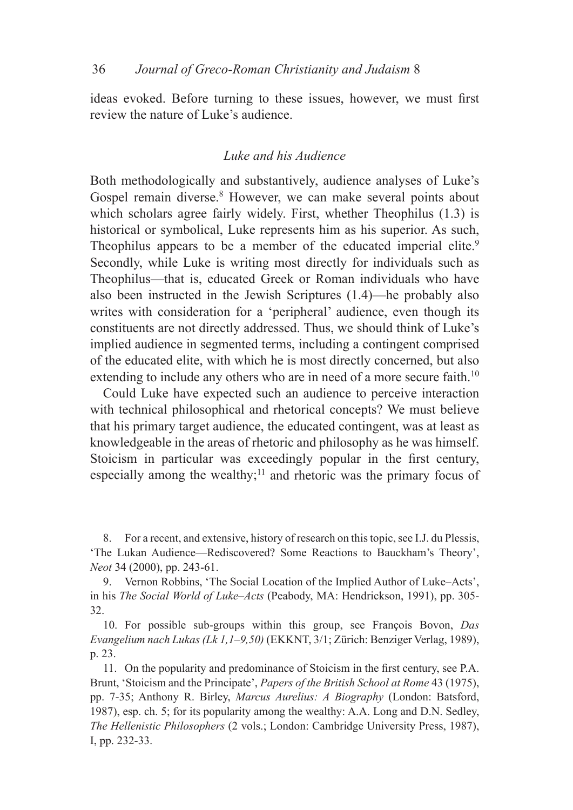ideas evoked. Before turning to these issues, however, we must first review the nature of Luke's audience.

## *Luke and his Audience*

Both methodologically and substantively, audience analyses of Luke's Gospel remain diverse.<sup>8</sup> However, we can make several points about which scholars agree fairly widely. First, whether Theophilus  $(1.3)$  is historical or symbolical, Luke represents him as his superior. As such, Theophilus appears to be a member of the educated imperial elite.<sup>9</sup> Secondly, while Luke is writing most directly for individuals such as Theophilus—that is, educated Greek or Roman individuals who have also been instructed in the Jewish Scriptures (1.4)—he probably also writes with consideration for a 'peripheral' audience, even though its constituents are not directly addressed. Thus, we should think of Luke's implied audience in segmented terms, including a contingent comprised of the educated elite, with which he is most directly concerned, but also extending to include any others who are in need of a more secure faith.<sup>10</sup>

Could Luke have expected such an audience to perceive interaction with technical philosophical and rhetorical concepts? We must believe that his primary target audience, the educated contingent, was at least as knowledgeable in the areas of rhetoric and philosophy as he was himself. Stoicism in particular was exceedingly popular in the first century, especially among the wealthy; $\frac{11}{11}$  and rhetoric was the primary focus of

8. For a recent, and extensive, history of research on this topic, see I.J. du Plessis, 'The Lukan Audience—Rediscovered? Some Reactions to Bauckham's Theory', *Neot* 34 (2000), pp. 243-61.

9. Vernon Robbins, 'The Social Location of the Implied Author of Luke–Acts', in his *The Social World of Luke–Acts* (Peabody, MA: Hendrickson, 1991), pp. 305- 32.

10. For possible sub-groups within this group, see François Bovon, *Das Evangelium nach Lukas (Lk 1,1–9,50)* (EKKNT, 3/1; Zürich: Benziger Verlag, 1989), p. 23.

11. On the popularity and predominance of Stoicism in the first century, see P.A. Brunt, 'Stoicism and the Principate', *Papers of the British School at Rome* 43 (1975), pp. 7-35; Anthony R. Birley, *Marcus Aurelius: A Biography* (London: Batsford, 1987), esp. ch. 5; for its popularity among the wealthy: A.A. Long and D.N. Sedley, *The Hellenistic Philosophers* (2 vols.; London: Cambridge University Press, 1987), I, pp. 232-33.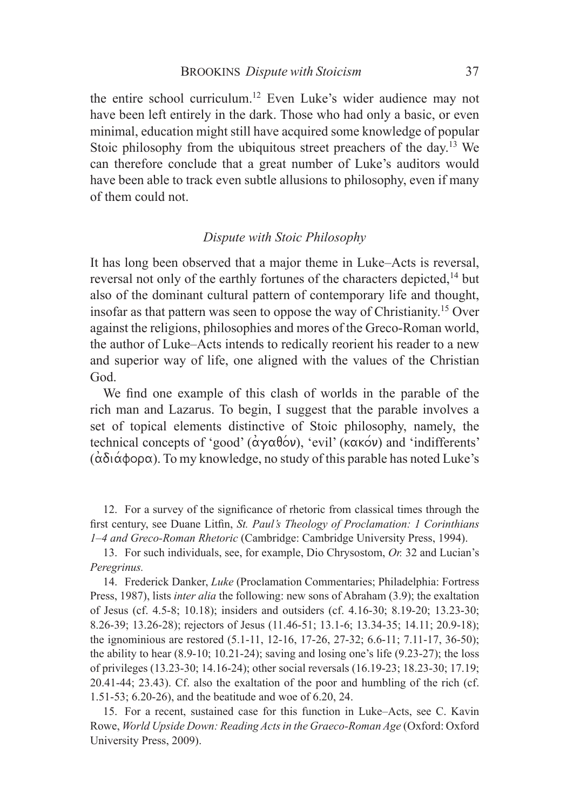the entire school curriculum.12 Even Luke's wider audience may not have been left entirely in the dark. Those who had only a basic, or even minimal, education might still have acquired some knowledge of popular Stoic philosophy from the ubiquitous street preachers of the day.<sup>13</sup> We can therefore conclude that a great number of Luke's auditors would have been able to track even subtle allusions to philosophy, even if many of them could not.

### *Dispute with Stoic Philosophy*

It has long been observed that a major theme in Luke–Acts is reversal, reversal not only of the earthly fortunes of the characters depicted,<sup>14</sup> but also of the dominant cultural pattern of contemporary life and thought, insofar as that pattern was seen to oppose the way of Christianity.15 Over against the religions, philosophies and mores of the Greco-Roman world, the author of Luke–Acts intends to redically reorient his reader to a new and superior way of life, one aligned with the values of the Christian God.

We find one example of this clash of worlds in the parable of the rich man and Lazarus. To begin, I suggest that the parable involves a set of topical elements distinctive of Stoic philosophy, namely, the technical concepts of 'good'  $(\alpha \gamma \alpha \beta \acute{o}v)$ , 'evil' ( $\kappa \alpha \kappa \acute{o}v$ ) and 'indifferents'  $(\alpha\delta(\alpha\phi\circ\rho\alpha))$ . To my knowledge, no study of this parable has noted Luke's

12. For a survey of the significance of rhetoric from classical times through the first century, see Duane Litfin, *St. Paul's Theology of Proclamation: 1 Corinthians 1–4 and Greco-Roman Rhetoric* (Cambridge: Cambridge University Press, 1994).

13. For such individuals, see, for example, Dio Chrysostom, *Or.* 32 and Lucian's *Peregrinus.*

14. Frederick Danker, *Luke* (Proclamation Commentaries; Philadelphia: Fortress Press, 1987), lists *inter alia* the following: new sons of Abraham (3.9); the exaltation of Jesus (cf. 4.5-8; 10.18); insiders and outsiders (cf. 4.16-30; 8.19-20; 13.23-30; 8.26-39; 13.26-28); rejectors of Jesus (11.46-51; 13.1-6; 13.34-35; 14.11; 20.9-18); the ignominious are restored (5.1-11, 12-16, 17-26, 27-32; 6.6-11; 7.11-17, 36-50); the ability to hear (8.9-10; 10.21-24); saving and losing one's life (9.23-27); the loss of privileges (13.23-30; 14.16-24); other social reversals (16.19-23; 18.23-30; 17.19; 20.41-44; 23.43). Cf. also the exaltation of the poor and humbling of the rich (cf. 1.51-53; 6.20-26), and the beatitude and woe of 6.20, 24.

15. For a recent, sustained case for this function in Luke–Acts, see C. Kavin Rowe, *World Upside Down: Reading Acts in the Graeco-Roman Age* (Oxford: Oxford University Press, 2009).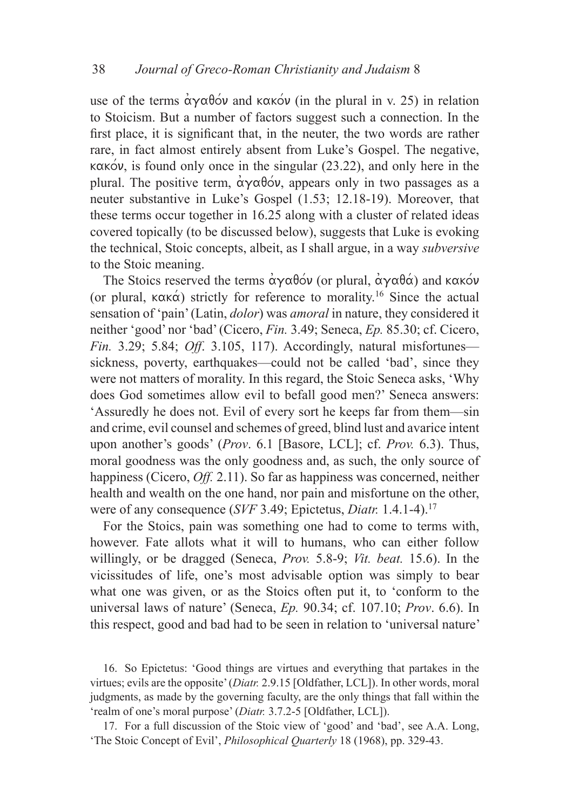use of the terms  $\alpha \gamma \alpha \beta \acute{o} \nu$  and  $\kappa \alpha \acute{o} \nu$  (in the plural in v. 25) in relation to Stoicism. But a number of factors suggest such a connection. In the first place, it is significant that, in the neuter, the two words are rather rare, in fact almost entirely absent from Luke's Gospel. The negative,  $kaxo\nu$ , is found only once in the singular (23.22), and only here in the plural. The positive term,  $\alpha\gamma\alpha\beta\alpha v$ , appears only in two passages as a neuter substantive in Luke's Gospel (1.53; 12.18-19). Moreover, that these terms occur together in 16.25 along with a cluster of related ideas covered topically (to be discussed below), suggests that Luke is evoking the technical, Stoic concepts, albeit, as I shall argue, in a way *subversive* to the Stoic meaning.

The Stoics reserved the terms  $\alpha\gamma\alpha\beta\acute{o}v$  (or plural,  $\dot{\alpha}\gamma\alpha\beta\acute{\alpha}$ ) and kakov (or plural,  $\kappa \alpha \kappa \dot{\alpha}$ ) strictly for reference to morality.<sup>16</sup> Since the actual sensation of 'pain' (Latin, *dolor*) was *amoral* in nature, they considered it neither 'good' nor 'bad' (Cicero, *Fin.* 3.49; Seneca, *Ep.* 85.30; cf. Cicero, *Fin.* 3.29; 5.84; *Off*. 3.105, 117). Accordingly, natural misfortunes sickness, poverty, earthquakes—could not be called 'bad', since they were not matters of morality. In this regard, the Stoic Seneca asks, 'Why does God sometimes allow evil to befall good men?' Seneca answers: 'Assuredly he does not. Evil of every sort he keeps far from them—sin and crime, evil counsel and schemes of greed, blind lust and avarice intent upon another's goods' (*Prov*. 6.1 [Basore, LCL]; cf. *Prov.* 6.3). Thus, moral goodness was the only goodness and, as such, the only source of happiness (Cicero, *Off.* 2.11). So far as happiness was concerned, neither health and wealth on the one hand, nor pain and misfortune on the other, were of any consequence (*SVF* 3.49; Epictetus, *Diatr.* 1.4.1-4).17

For the Stoics, pain was something one had to come to terms with, however. Fate allots what it will to humans, who can either follow willingly, or be dragged (Seneca, *Prov.* 5.8-9; *Vit. beat.* 15.6). In the vicissitudes of life, one's most advisable option was simply to bear what one was given, or as the Stoics often put it, to 'conform to the universal laws of nature' (Seneca, *Ep.* 90.34; cf. 107.10; *Prov*. 6.6). In this respect, good and bad had to be seen in relation to 'universal nature'

16. So Epictetus: 'Good things are virtues and everything that partakes in the virtues; evils are the opposite' (*Diatr.* 2.9.15 [Oldfather, LCL]). In other words, moral judgments, as made by the governing faculty, are the only things that fall within the 'realm of one's moral purpose' (*Diatr.* 3.7.2-5 [Oldfather, LCL]).

17. For a full discussion of the Stoic view of 'good' and 'bad', see A.A. Long, 'The Stoic Concept of Evil', *Philosophical Quarterly* 18 (1968), pp. 329-43.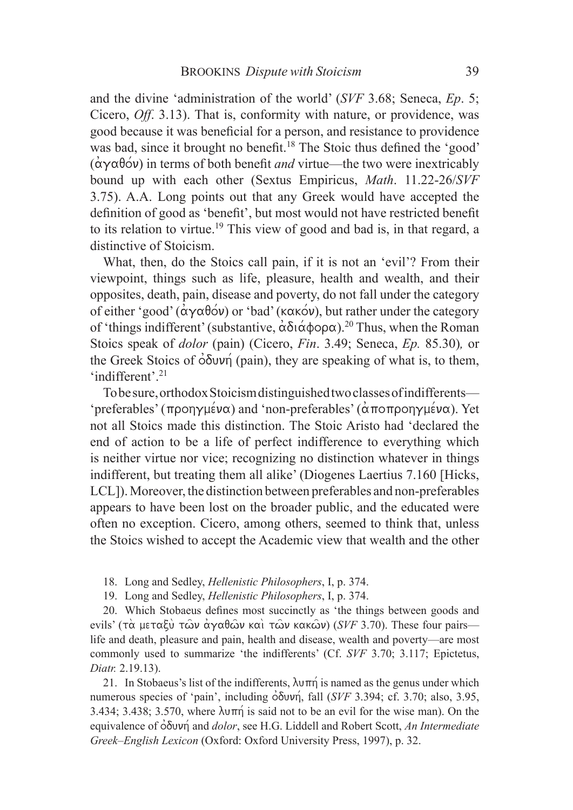and the divine 'administration of the world' (*SVF* 3.68; Seneca, *Ep*. 5; Cicero, *Off*. 3.13). That is, conformity with nature, or providence, was good because it was beneficial for a person, and resistance to providence was bad, since it brought no benefit.<sup>18</sup> The Stoic thus defined the 'good'  $(\alpha \gamma \alpha \beta \acute{o} \nu)$  in terms of both benefit *and* virtue—the two were inextricably bound up with each other (Sextus Empiricus, *Math*. 11.22-26/*SVF* 3.75). A.A. Long points out that any Greek would have accepted the definition of good as 'benefit', but most would not have restricted benefit to its relation to virtue.19 This view of good and bad is, in that regard, a distinctive of Stoicism.

What, then, do the Stoics call pain, if it is not an 'evil'? From their viewpoint, things such as life, pleasure, health and wealth, and their opposites, death, pain, disease and poverty, do not fall under the category of either 'good' ( $\alpha \gamma \alpha \beta o \omega$ ) or 'bad' (κακόν), but rather under the category of 'things indifferent' (substantive,  $\alpha\delta(\alpha\phi o \rho\alpha)$ <sup>20</sup> Thus, when the Roman Stoics speak of *dolor* (pain) (Cicero, *Fin*. 3.49; Seneca, *Ep.* 85.30)*,* or the Greek Stoics of  $\dot{\phi}$  (pain), they are speaking of what is, to them, 'indifferent'.<sup>21</sup>

To be sure, orthodox Stoicism distinguished two classes of indifferents— 'preferables' ( $\pi$ ροηγμένα) and 'non-preferables' ( $\alpha$ ποπροηγμένα). Yet not all Stoics made this distinction. The Stoic Aristo had 'declared the end of action to be a life of perfect indifference to everything which is neither virtue nor vice; recognizing no distinction whatever in things indifferent, but treating them all alike' (Diogenes Laertius 7.160 [Hicks, LCL]). Moreover, the distinction between preferables and non-preferables appears to have been lost on the broader public, and the educated were often no exception. Cicero, among others, seemed to think that, unless the Stoics wished to accept the Academic view that wealth and the other

18. Long and Sedley, *Hellenistic Philosophers*, I, p. 374.

19. Long and Sedley, *Hellenistic Philosophers*, I, p. 374.

20. Which Stobaeus defines most succinctly as 'the things between goods and evils' (τα μεταξύ τῶν άγαθῶν καὶ τῶν κακῶν) (*SVF* 3.70). These four pairs life and death, pleasure and pain, health and disease, wealth and poverty—are most commonly used to summarize 'the indifferents' (Cf. *SVF* 3.70; 3.117; Epictetus, *Diatr.* 2.19.13).

21. In Stobaeus's list of the indifferents,  $\lambda \nu \pi \eta$  is named as the genus under which numerous species of 'pain', including  $\delta$ δυνή, fall (*SVF* 3.394; cf. 3.70; also, 3.95, 3.434; 3.438; 3.570, where  $\lambda \nu \pi \eta$  is said not to be an evil for the wise man). On the equivalence of  $\dot{\phi}$ δυνή and *dolor*, see H.G. Liddell and Robert Scott, *An Intermediate Greek–English Lexicon* (Oxford: Oxford University Press, 1997), p. 32.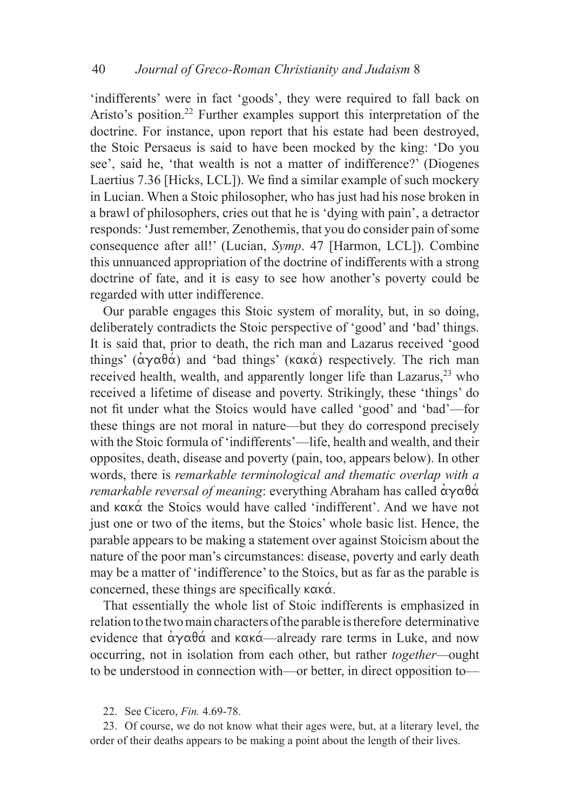'indifferents' were in fact 'goods', they were required to fall back on Aristo's position.<sup>22</sup> Further examples support this interpretation of the doctrine. For instance, upon report that his estate had been destroyed, the Stoic Persaeus is said to have been mocked by the king: 'Do you see', said he, 'that wealth is not a matter of indifference?' (Diogenes Laertius 7.36 [Hicks, LCL]). We find a similar example of such mockery in Lucian. When a Stoic philosopher, who has just had his nose broken in a brawl of philosophers, cries out that he is 'dying with pain', a detractor responds: 'Just remember, Zenothemis, that you do consider pain of some consequence after all!' (Lucian, *Symp*. 47 [Harmon, LCL]). Combine this unnuanced appropriation of the doctrine of indifferents with a strong doctrine of fate, and it is easy to see how another's poverty could be regarded with utter indifference.

Our parable engages this Stoic system of morality, but, in so doing, deliberately contradicts the Stoic perspective of 'good' and 'bad' things. It is said that, prior to death, the rich man and Lazarus received 'good things'  $(\alpha \gamma \alpha \beta \alpha)$  and 'bad things' ( $\kappa \alpha \kappa \alpha$ ) respectively. The rich man received health, wealth, and apparently longer life than Lazarus,<sup>23</sup> who received a lifetime of disease and poverty. Strikingly, these 'things' do not fit under what the Stoics would have called 'good' and 'bad'—for these things are not moral in nature—but they do correspond precisely with the Stoic formula of 'indifferents'—life, health and wealth, and their opposites, death, disease and poverty (pain, too, appears below). In other words, there is *remarkable terminological and thematic overlap with a remarkable reversal of meaning*: everything Abraham has called  $\alpha \gamma \alpha \theta \alpha$ and  $\kappa \alpha \times \alpha'$  the Stoics would have called 'indifferent'. And we have not just one or two of the items, but the Stoics' whole basic list. Hence, the parable appears to be making a statement over against Stoicism about the nature of the poor man's circumstances: disease, poverty and early death may be a matter of 'indifference' to the Stoics, but as far as the parable is concerned, these things are specifically  $\kappa \alpha \kappa \alpha$ .

That essentially the whole list of Stoic indifferents is emphasized in relation to the two main characters of the parable is therefore determinative evidence that  $\alpha \gamma \alpha \beta \alpha$  and  $\kappa \alpha \alpha$ —already rare terms in Luke, and now occurring, not in isolation from each other, but rather *together—*ought to be understood in connection with—or better, in direct opposition to—

22. See Cicero, *Fin.* 4.69-78.

23. Of course, we do not know what their ages were, but, at a literary level, the order of their deaths appears to be making a point about the length of their lives.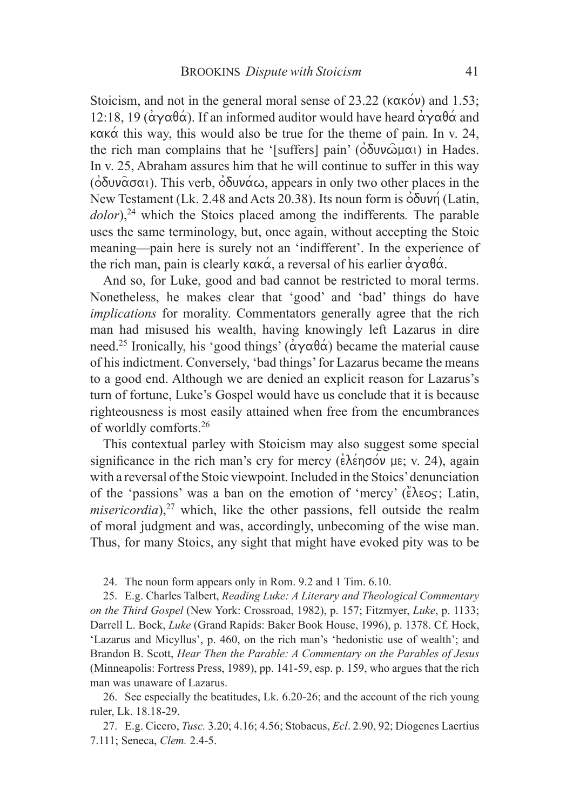Stoicism, and not in the general moral sense of 23.22 ( $\kappa \alpha \kappa \acute{o} \nu$ ) and 1.53; 12:18, 19 ( $\alpha \gamma \alpha \beta \alpha$ ). If an informed auditor would have heard  $\alpha \gamma \alpha \beta \alpha$  and  $\kappa \alpha \kappa \dot{\alpha}$  this way, this would also be true for the theme of pain. In v. 24, the rich man complains that he '[suffers] pain' ( $\delta \delta$ *uv* $\hat{\omega}$  $\mu$  $\alpha$ *l*) in Hades. In v. 25, Abraham assures him that he will continue to suffer in this way ( $\delta$  $\delta$  $\nu$  $\alpha$  $\alpha$ ). This verb,  $\delta$  $\delta$  $\nu$  $\alpha$  $\alpha$ , appears in only two other places in the New Testament (Lk. 2.48 and Acts 20.38). Its noun form is  $\delta \delta v v \eta$  (Latin, dolor),<sup>24</sup> which the Stoics placed among the indifferents. The parable uses the same terminology, but, once again, without accepting the Stoic meaning—pain here is surely not an 'indifferent'. In the experience of the rich man, pain is clearly  $\kappa \alpha \kappa \alpha$ , a reversal of his earlier  $\alpha \gamma \alpha \theta \alpha$ .

And so, for Luke, good and bad cannot be restricted to moral terms. Nonetheless, he makes clear that 'good' and 'bad' things do have *implications* for morality. Commentators generally agree that the rich man had misused his wealth, having knowingly left Lazarus in dire need.<sup>25</sup> Ironically, his 'good things' ( $\alpha \gamma \alpha \beta \alpha$ ) became the material cause of his indictment. Conversely, 'bad things' for Lazarus became the means to a good end. Although we are denied an explicit reason for Lazarus's turn of fortune, Luke's Gospel would have us conclude that it is because righteousness is most easily attained when free from the encumbrances of worldly comforts.26

This contextual parley with Stoicism may also suggest some special significance in the rich man's cry for mercy  $(\epsilon \lambda \epsilon \eta \sigma \acute{o} \nu \mu \epsilon; v. 24)$ , again with a reversal of the Stoic viewpoint. Included in the Stoics' denunciation of the 'passions' was a ban on the emotion of 'mercy' ( $\epsilon \lambda \epsilon o$ ; Latin, *misericordia*), $27$  which, like the other passions, fell outside the realm of moral judgment and was, accordingly, unbecoming of the wise man. Thus, for many Stoics, any sight that might have evoked pity was to be

24. The noun form appears only in Rom. 9.2 and 1 Tim. 6.10.

25. E.g. Charles Talbert, *Reading Luke: A Literary and Theological Commentary on the Third Gospel* (New York: Crossroad, 1982), p. 157; Fitzmyer, *Luke*, p. 1133; Darrell L. Bock, *Luke* (Grand Rapids: Baker Book House, 1996), p. 1378. Cf. Hock, 'Lazarus and Micyllus', p. 460, on the rich man's 'hedonistic use of wealth'; and Brandon B. Scott, *Hear Then the Parable: A Commentary on the Parables of Jesus* (Minneapolis: Fortress Press, 1989), pp. 141-59, esp. p. 159, who argues that the rich man was unaware of Lazarus.

26. See especially the beatitudes, Lk. 6.20-26; and the account of the rich young ruler, Lk. 18.18-29.

27. E.g. Cicero, *Tusc.* 3.20; 4.16; 4.56; Stobaeus, *Ecl*. 2.90, 92; Diogenes Laertius 7.111; Seneca, *Clem.* 2.4-5.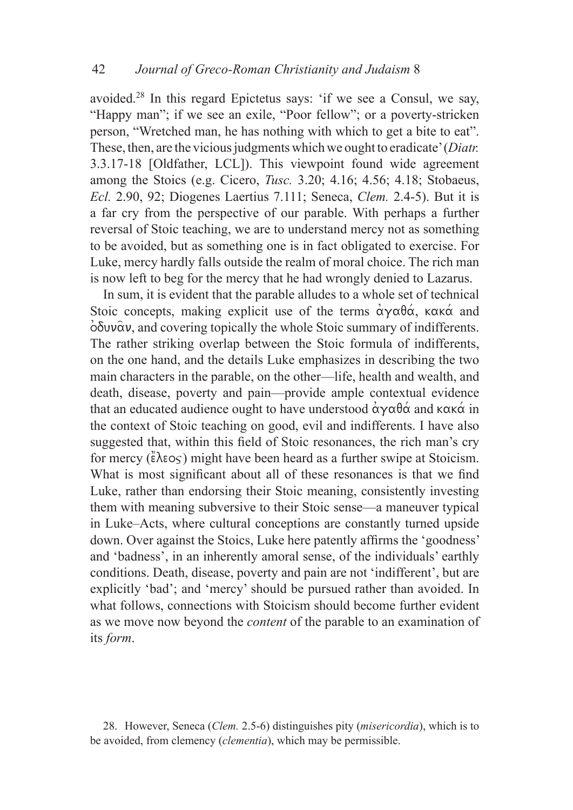avoided.28 In this regard Epictetus says: 'if we see a Consul, we say, "Happy man"; if we see an exile, "Poor fellow"; or a poverty-stricken person, "Wretched man, he has nothing with which to get a bite to eat". These, then, are the vicious judgments which we ought to eradicate' (*Diatr.*  3.3.17-18 [Oldfather, LCL]). This viewpoint found wide agreement among the Stoics (e.g. Cicero, *Tusc.* 3.20; 4.16; 4.56; 4.18; Stobaeus, *Ecl.* 2.90, 92; Diogenes Laertius 7.111; Seneca, *Clem.* 2.4-5). But it is a far cry from the perspective of our parable. With perhaps a further reversal of Stoic teaching, we are to understand mercy not as something to be avoided, but as something one is in fact obligated to exercise. For Luke, mercy hardly falls outside the realm of moral choice. The rich man is now left to beg for the mercy that he had wrongly denied to Lazarus.

In sum, it is evident that the parable alludes to a whole set of technical Stoic concepts, making explicit use of the terms  $\alpha y \alpha \theta \alpha$ ,  $\kappa \alpha x \alpha$  and  $\dot{\phi}$  of  $\dot{\alpha}$ , and covering topically the whole Stoic summary of indifferents. The rather striking overlap between the Stoic formula of indifferents, on the one hand, and the details Luke emphasizes in describing the two main characters in the parable, on the other—life, health and wealth, and death, disease, poverty and pain—provide ample contextual evidence that an educated audience ought to have understood  $\alpha\gamma\alpha\beta\alpha$  and  $\kappa\alpha\kappa\alpha$  in the context of Stoic teaching on good, evil and indifferents. I have also suggested that, within this field of Stoic resonances, the rich man's cry for mercy  $(\epsilon \lambda \epsilon o\varsigma)$  might have been heard as a further swipe at Stoicism. What is most significant about all of these resonances is that we find Luke, rather than endorsing their Stoic meaning, consistently investing them with meaning subversive to their Stoic sense—a maneuver typical in Luke–Acts, where cultural conceptions are constantly turned upside down. Over against the Stoics, Luke here patently affirms the 'goodness' and 'badness', in an inherently amoral sense, of the individuals' earthly conditions. Death, disease, poverty and pain are not 'indifferent', but are explicitly 'bad'; and 'mercy' should be pursued rather than avoided. In what follows, connections with Stoicism should become further evident as we move now beyond the *content* of the parable to an examination of its *form*.

<sup>28.</sup> However, Seneca (*Clem.* 2.5-6) distinguishes pity (*misericordia*), which is to be avoided, from clemency (*clementia*), which may be permissible.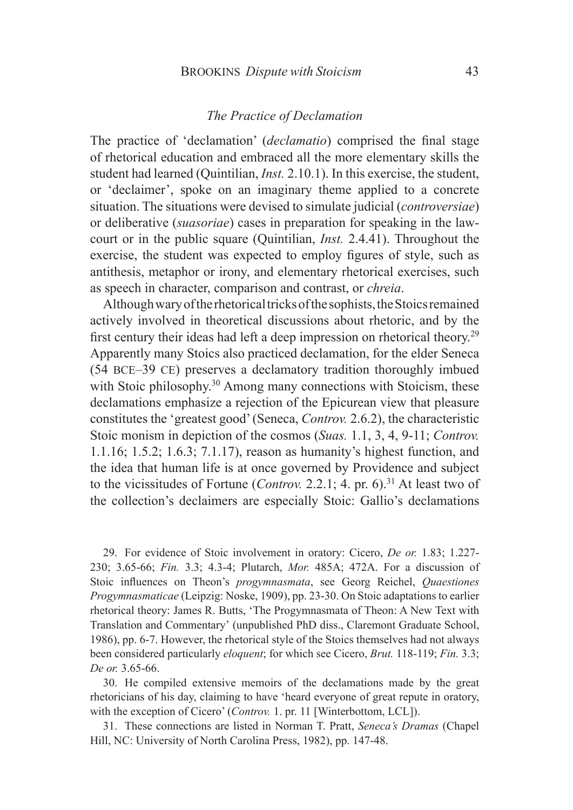#### *The Practice of Declamation*

The practice of 'declamation' (*declamatio*) comprised the final stage of rhetorical education and embraced all the more elementary skills the student had learned (Quintilian, *Inst.* 2.10.1). In this exercise, the student, or 'declaimer', spoke on an imaginary theme applied to a concrete situation. The situations were devised to simulate judicial (*controversiae*) or deliberative (*suasoriae*) cases in preparation for speaking in the lawcourt or in the public square (Quintilian, *Inst.* 2.4.41). Throughout the exercise, the student was expected to employ figures of style, such as antithesis, metaphor or irony, and elementary rhetorical exercises, such as speech in character, comparison and contrast, or *chreia*.

Although wary of the rhetorical tricks of the sophists, the Stoics remained actively involved in theoretical discussions about rhetoric, and by the first century their ideas had left a deep impression on rhetorical theory.<sup>29</sup> Apparently many Stoics also practiced declamation, for the elder Seneca (54 bce–39 ce) preserves a declamatory tradition thoroughly imbued with Stoic philosophy.<sup>30</sup> Among many connections with Stoicism, these declamations emphasize a rejection of the Epicurean view that pleasure constitutes the 'greatest good' (Seneca, *Controv.* 2.6.2), the characteristic Stoic monism in depiction of the cosmos (*Suas.* 1.1, 3, 4, 9-11; *Controv.*  1.1.16; 1.5.2; 1.6.3; 7.1.17), reason as humanity's highest function, and the idea that human life is at once governed by Providence and subject to the vicissitudes of Fortune (*Controv.* 2.2.1; 4. pr. 6).<sup>31</sup> At least two of the collection's declaimers are especially Stoic: Gallio's declamations

29. For evidence of Stoic involvement in oratory: Cicero, *De or.* 1.83; 1.227- 230; 3.65-66; *Fin.* 3.3; 4.3-4; Plutarch, *Mor.* 485A; 472A. For a discussion of Stoic influences on Theon's *progymnasmata*, see Georg Reichel, *Quaestiones Progymnasmaticae* (Leipzig: Noske, 1909), pp. 23-30. On Stoic adaptations to earlier rhetorical theory: James R. Butts, 'The Progymnasmata of Theon: A New Text with Translation and Commentary' (unpublished PhD diss., Claremont Graduate School, 1986), pp. 6-7. However, the rhetorical style of the Stoics themselves had not always been considered particularly *eloquent*; for which see Cicero, *Brut.* 118-119; *Fin.* 3.3; *De or.* 3.65-66.

30. He compiled extensive memoirs of the declamations made by the great rhetoricians of his day, claiming to have 'heard everyone of great repute in oratory, with the exception of Cicero' (*Controv.* 1. pr. 11 [Winterbottom, LCL]).

31. These connections are listed in Norman T. Pratt, *Seneca's Dramas* (Chapel Hill, NC: University of North Carolina Press, 1982), pp. 147-48.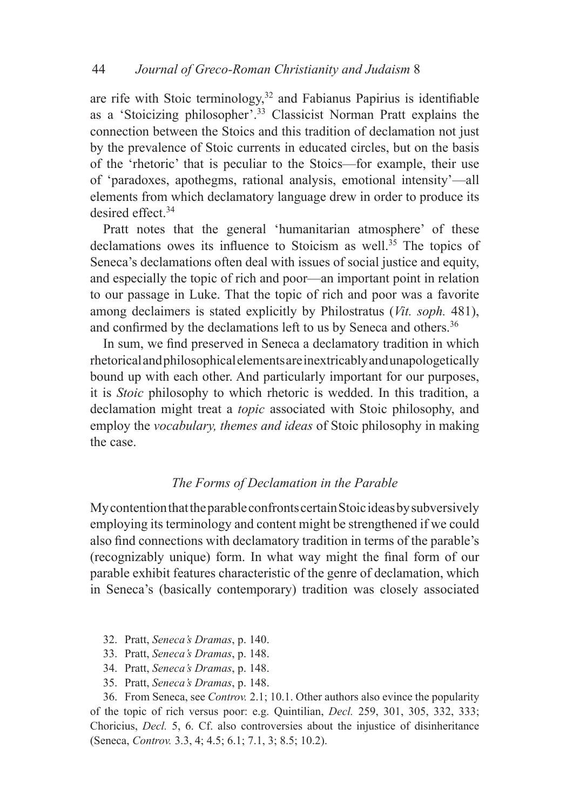are rife with Stoic terminology,<sup>32</sup> and Fabianus Papirius is identifiable as a 'Stoicizing philosopher'.33 Classicist Norman Pratt explains the connection between the Stoics and this tradition of declamation not just by the prevalence of Stoic currents in educated circles, but on the basis of the 'rhetoric' that is peculiar to the Stoics—for example, their use of 'paradoxes, apothegms, rational analysis, emotional intensity'—all elements from which declamatory language drew in order to produce its desired effect.34

Pratt notes that the general 'humanitarian atmosphere' of these declamations owes its influence to Stoicism as well.<sup>35</sup> The topics of Seneca's declamations often deal with issues of social justice and equity, and especially the topic of rich and poor—an important point in relation to our passage in Luke. That the topic of rich and poor was a favorite among declaimers is stated explicitly by Philostratus (*Vit. soph.* 481), and confirmed by the declamations left to us by Seneca and others.<sup>36</sup>

In sum, we find preserved in Seneca a declamatory tradition in which rhetorical and philosophical elements are inextricably and unapologetically bound up with each other. And particularly important for our purposes, it is *Stoic* philosophy to which rhetoric is wedded. In this tradition, a declamation might treat a *topic* associated with Stoic philosophy, and employ the *vocabulary, themes and ideas* of Stoic philosophy in making the case.

### *The Forms of Declamation in the Parable*

My contention that the parable confronts certain Stoic ideas by subversively employing its terminology and content might be strengthened if we could also find connections with declamatory tradition in terms of the parable's (recognizably unique) form. In what way might the final form of our parable exhibit features characteristic of the genre of declamation, which in Seneca's (basically contemporary) tradition was closely associated

- 32. Pratt, *Seneca's Dramas*, p. 140.
- 33. Pratt, *Seneca's Dramas*, p. 148.
- 34. Pratt, *Seneca's Dramas*, p. 148.
- 35. Pratt, *Seneca's Dramas*, p. 148.

36. From Seneca, see *Controv.* 2.1; 10.1. Other authors also evince the popularity of the topic of rich versus poor: e.g. Quintilian, *Decl.* 259, 301, 305, 332, 333; Choricius, *Decl.* 5, 6. Cf. also controversies about the injustice of disinheritance (Seneca, *Controv.* 3.3, 4; 4.5; 6.1; 7.1, 3; 8.5; 10.2).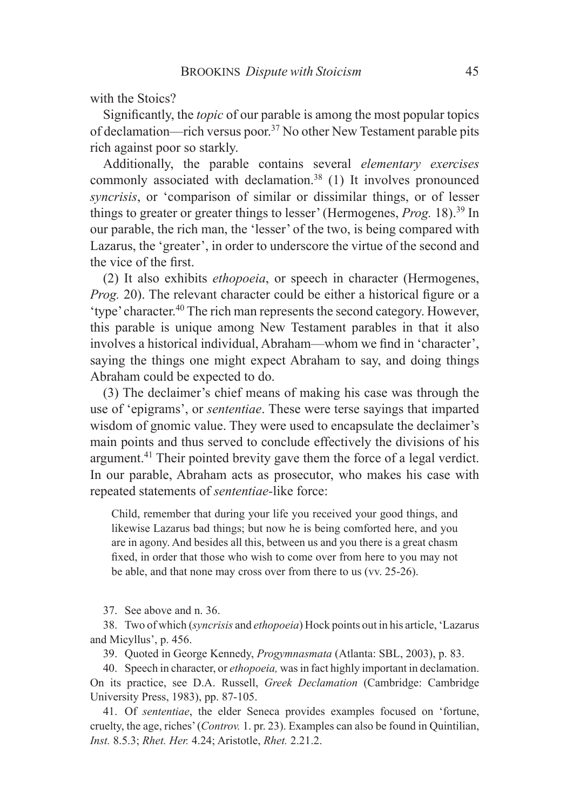with the Stoics?

Significantly, the *topic* of our parable is among the most popular topics of declamation—rich versus poor.37 No other New Testament parable pits rich against poor so starkly.

Additionally, the parable contains several *elementary exercises* commonly associated with declamation.38 (1) It involves pronounced *syncrisis*, or 'comparison of similar or dissimilar things, or of lesser things to greater or greater things to lesser' (Hermogenes, *Prog.* 18).39 In our parable, the rich man, the 'lesser' of the two, is being compared with Lazarus, the 'greater', in order to underscore the virtue of the second and the vice of the first.

(2) It also exhibits *ethopoeia*, or speech in character (Hermogenes, *Prog.* 20). The relevant character could be either a historical figure or a 'type' character.40 The rich man represents the second category. However, this parable is unique among New Testament parables in that it also involves a historical individual, Abraham—whom we find in 'character', saying the things one might expect Abraham to say, and doing things Abraham could be expected to do.

(3) The declaimer's chief means of making his case was through the use of 'epigrams', or *sententiae*. These were terse sayings that imparted wisdom of gnomic value. They were used to encapsulate the declaimer's main points and thus served to conclude effectively the divisions of his argument.41 Their pointed brevity gave them the force of a legal verdict. In our parable, Abraham acts as prosecutor, who makes his case with repeated statements of *sententiae-*like force:

Child, remember that during your life you received your good things, and likewise Lazarus bad things; but now he is being comforted here, and you are in agony. And besides all this, between us and you there is a great chasm fixed, in order that those who wish to come over from here to you may not be able, and that none may cross over from there to us (vv. 25-26).

37. See above and n. 36.

38. Two of which (*syncrisis* and *ethopoeia*) Hock points out in his article, 'Lazarus and Micyllus', p. 456.

39. Quoted in George Kennedy, *Progymnasmata* (Atlanta: SBL, 2003), p. 83.

40. Speech in character, or *ethopoeia,* was in fact highly important in declamation. On its practice, see D.A. Russell, *Greek Declamation* (Cambridge: Cambridge University Press, 1983), pp. 87-105.

41. Of *sententiae*, the elder Seneca provides examples focused on 'fortune, cruelty, the age, riches' (*Controv.* 1. pr. 23). Examples can also be found in Quintilian, *Inst.* 8.5.3; *Rhet. Her.* 4.24; Aristotle, *Rhet.* 2.21.2.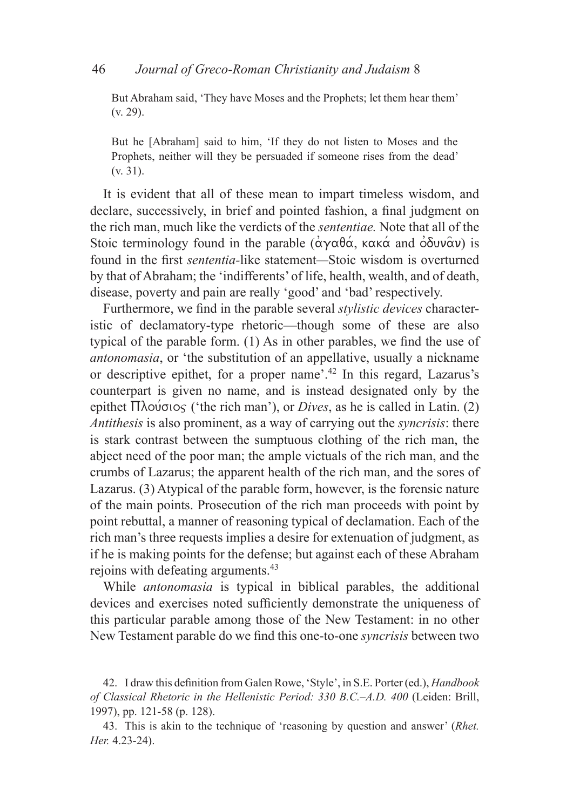But Abraham said, 'They have Moses and the Prophets; let them hear them' (v. 29).

But he [Abraham] said to him, 'If they do not listen to Moses and the Prophets, neither will they be persuaded if someone rises from the dead' (v. 31).

It is evident that all of these mean to impart timeless wisdom, and declare, successively, in brief and pointed fashion, a final judgment on the rich man, much like the verdicts of the *sententiae.* Note that all of the Stoic terminology found in the parable  $(\alpha \gamma \alpha \theta \alpha, \kappa \alpha \kappa \alpha)$  and  $\delta \delta \nu \alpha$ ) is found in the first *sententia-*like statement*—*Stoic wisdom is overturned by that of Abraham; the 'indifferents' of life, health, wealth, and of death, disease, poverty and pain are really 'good' and 'bad' respectively.

Furthermore, we find in the parable several *stylistic devices* characteristic of declamatory-type rhetoric—though some of these are also typical of the parable form. (1) As in other parables, we find the use of *antonomasia*, or 'the substitution of an appellative, usually a nickname or descriptive epithet, for a proper name'.42 In this regard, Lazarus's counterpart is given no name, and is instead designated only by the epithet  $\Pi$ λούσιος ('the rich man'), or *Dives*, as he is called in Latin. (2) *Antithesis* is also prominent, as a way of carrying out the *syncrisis*: there is stark contrast between the sumptuous clothing of the rich man, the abject need of the poor man; the ample victuals of the rich man, and the crumbs of Lazarus; the apparent health of the rich man, and the sores of Lazarus. (3) Atypical of the parable form, however, is the forensic nature of the main points. Prosecution of the rich man proceeds with point by point rebuttal, a manner of reasoning typical of declamation. Each of the rich man's three requests implies a desire for extenuation of judgment, as if he is making points for the defense; but against each of these Abraham rejoins with defeating arguments.43

While *antonomasia* is typical in biblical parables, the additional devices and exercises noted sufficiently demonstrate the uniqueness of this particular parable among those of the New Testament: in no other New Testament parable do we find this one-to-one *syncrisis* between two

<sup>42.</sup> I draw this definition from Galen Rowe, 'Style', in S.E. Porter (ed.), *Handbook of Classical Rhetoric in the Hellenistic Period: 330 B.C.–A.D. 400* (Leiden: Brill, 1997), pp. 121-58 (p. 128).

<sup>43.</sup> This is akin to the technique of 'reasoning by question and answer' (*Rhet. Her.* 4.23-24).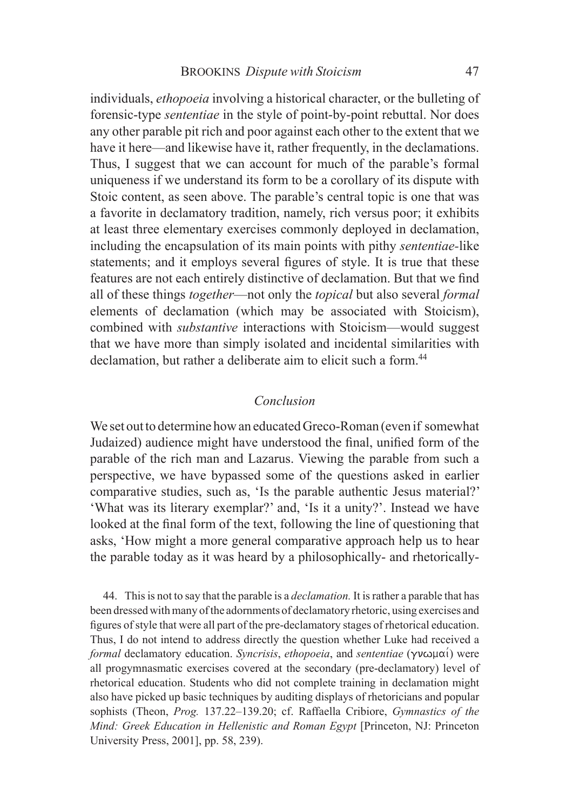individuals, *ethopoeia* involving a historical character, or the bulleting of forensic-type *sententiae* in the style of point-by-point rebuttal. Nor does any other parable pit rich and poor against each other to the extent that we have it here—and likewise have it, rather frequently, in the declamations. Thus, I suggest that we can account for much of the parable's formal uniqueness if we understand its form to be a corollary of its dispute with Stoic content, as seen above. The parable's central topic is one that was a favorite in declamatory tradition, namely, rich versus poor; it exhibits at least three elementary exercises commonly deployed in declamation, including the encapsulation of its main points with pithy *sententiae-*like statements; and it employs several figures of style. It is true that these features are not each entirely distinctive of declamation. But that we find all of these things *together*—not only the *topical* but also several *formal* elements of declamation (which may be associated with Stoicism), combined with *substantive* interactions with Stoicism—would suggest that we have more than simply isolated and incidental similarities with declamation, but rather a deliberate aim to elicit such a form.<sup>44</sup>

### *Conclusion*

We set out to determine how an educated Greco-Roman (even if somewhat Judaized) audience might have understood the final, unified form of the parable of the rich man and Lazarus. Viewing the parable from such a perspective, we have bypassed some of the questions asked in earlier comparative studies, such as, 'Is the parable authentic Jesus material?' 'What was its literary exemplar?' and, 'Is it a unity?'. Instead we have looked at the final form of the text, following the line of questioning that asks, 'How might a more general comparative approach help us to hear the parable today as it was heard by a philosophically- and rhetorically-

44. This is not to say that the parable is a *declamation.* It is rather a parable that has been dressed with many of the adornments of declamatory rhetoric, using exercises and figures of style that were all part of the pre-declamatory stages of rhetorical education. Thus, I do not intend to address directly the question whether Luke had received a *formal* declamatory education. *Syncrisis, ethopoeia, and sententiae* ( $\gamma v \omega \mu \alpha'$ ) were all progymnasmatic exercises covered at the secondary (pre-declamatory) level of rhetorical education. Students who did not complete training in declamation might also have picked up basic techniques by auditing displays of rhetoricians and popular sophists (Theon, *Prog.* 137.22–139.20; cf. Raffaella Cribiore, *Gymnastics of the Mind: Greek Education in Hellenistic and Roman Egypt* [Princeton, NJ: Princeton University Press, 2001], pp. 58, 239).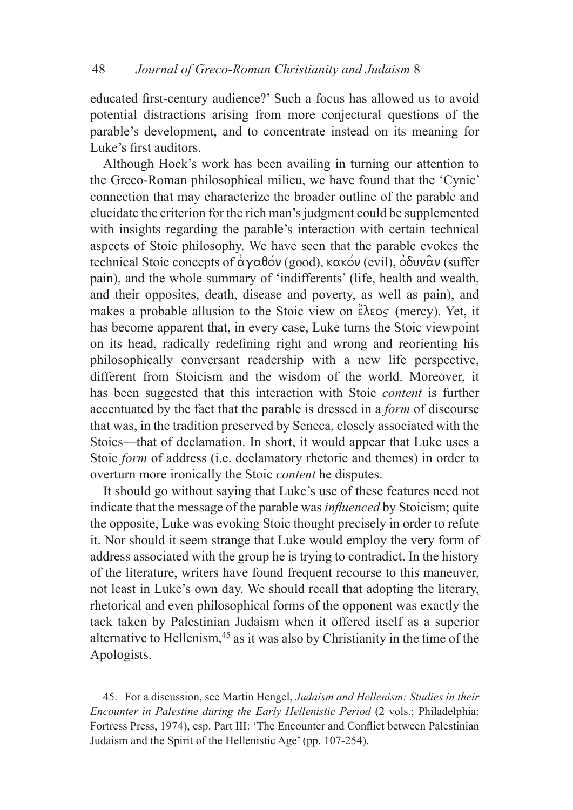educated first-century audience?' Such a focus has allowed us to avoid potential distractions arising from more conjectural questions of the parable's development, and to concentrate instead on its meaning for Luke's first auditors.

Although Hock's work has been availing in turning our attention to the Greco-Roman philosophical milieu, we have found that the 'Cynic' connection that may characterize the broader outline of the parable and elucidate the criterion for the rich man's judgment could be supplemented with insights regarding the parable's interaction with certain technical aspects of Stoic philosophy. We have seen that the parable evokes the technical Stoic concepts of  $\alpha\gamma\alpha\beta\acute{o}v$  (good), κακόν (evil),  $\dot{\alpha}\delta v\alpha\acute{o}v$  (suffer pain), and the whole summary of 'indifferents' (life, health and wealth, and their opposites, death, disease and poverty, as well as pain), and makes a probable allusion to the Stoic view on  $\epsilon \lambda \epsilon o \varsigma$  (mercy). Yet, it has become apparent that, in every case, Luke turns the Stoic viewpoint on its head, radically redefining right and wrong and reorienting his philosophically conversant readership with a new life perspective, different from Stoicism and the wisdom of the world. Moreover, it has been suggested that this interaction with Stoic *content* is further accentuated by the fact that the parable is dressed in a *form* of discourse that was, in the tradition preserved by Seneca, closely associated with the Stoics—that of declamation. In short, it would appear that Luke uses a Stoic *form* of address (i.e. declamatory rhetoric and themes) in order to overturn more ironically the Stoic *content* he disputes.

It should go without saying that Luke's use of these features need not indicate that the message of the parable was *influenced* by Stoicism; quite the opposite, Luke was evoking Stoic thought precisely in order to refute it. Nor should it seem strange that Luke would employ the very form of address associated with the group he is trying to contradict. In the history of the literature, writers have found frequent recourse to this maneuver, not least in Luke's own day. We should recall that adopting the literary, rhetorical and even philosophical forms of the opponent was exactly the tack taken by Palestinian Judaism when it offered itself as a superior alternative to Hellenism,<sup>45</sup> as it was also by Christianity in the time of the Apologists.

45. For a discussion, see Martin Hengel, *Judaism and Hellenism: Studies in their Encounter in Palestine during the Early Hellenistic Period (2 vols.; Philadelphia:* Fortress Press, 1974), esp. Part III: 'The Encounter and Conflict between Palestinian Judaism and the Spirit of the Hellenistic Age' (pp. 107-254).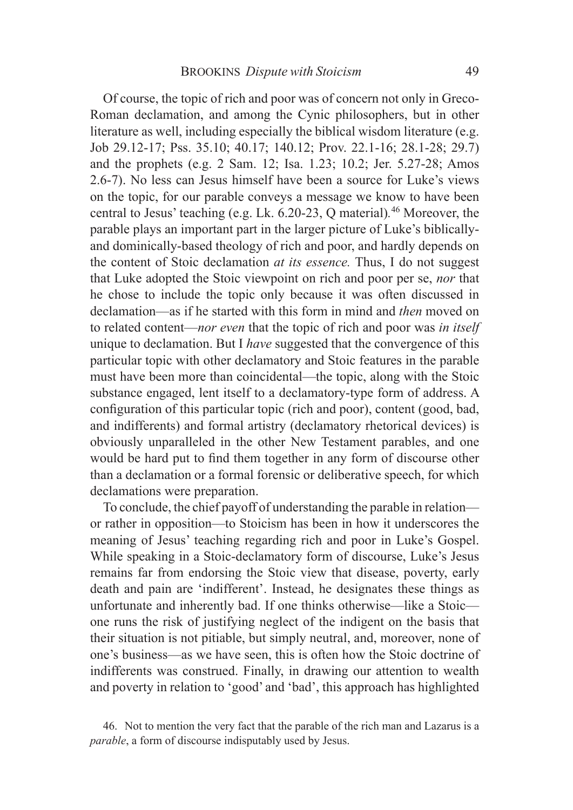Of course, the topic of rich and poor was of concern not only in Greco-Roman declamation, and among the Cynic philosophers, but in other literature as well, including especially the biblical wisdom literature (e.g. Job 29.12-17; Pss. 35.10; 40.17; 140.12; Prov. 22.1-16; 28.1-28; 29.7) and the prophets (e.g. 2 Sam. 12; Isa. 1.23; 10.2; Jer. 5.27-28; Amos 2.6-7). No less can Jesus himself have been a source for Luke's views on the topic, for our parable conveys a message we know to have been central to Jesus' teaching (e.g. Lk. 6.20-23, Q material)*.* 46 Moreover, the parable plays an important part in the larger picture of Luke's biblicallyand dominically-based theology of rich and poor, and hardly depends on the content of Stoic declamation *at its essence.* Thus, I do not suggest that Luke adopted the Stoic viewpoint on rich and poor per se, *nor* that he chose to include the topic only because it was often discussed in declamation—as if he started with this form in mind and *then* moved on to related content—*nor even* that the topic of rich and poor was *in itself* unique to declamation. But I *have* suggested that the convergence of this particular topic with other declamatory and Stoic features in the parable must have been more than coincidental—the topic, along with the Stoic substance engaged, lent itself to a declamatory-type form of address. A configuration of this particular topic (rich and poor), content (good, bad, and indifferents) and formal artistry (declamatory rhetorical devices) is obviously unparalleled in the other New Testament parables, and one would be hard put to find them together in any form of discourse other than a declamation or a formal forensic or deliberative speech, for which declamations were preparation.

To conclude, the chief payoff of understanding the parable in relation or rather in opposition—to Stoicism has been in how it underscores the meaning of Jesus' teaching regarding rich and poor in Luke's Gospel. While speaking in a Stoic-declamatory form of discourse, Luke's Jesus remains far from endorsing the Stoic view that disease, poverty, early death and pain are 'indifferent'. Instead, he designates these things as unfortunate and inherently bad. If one thinks otherwise—like a Stoic one runs the risk of justifying neglect of the indigent on the basis that their situation is not pitiable, but simply neutral, and, moreover, none of one's business—as we have seen, this is often how the Stoic doctrine of indifferents was construed. Finally, in drawing our attention to wealth and poverty in relation to 'good' and 'bad', this approach has highlighted

<sup>46.</sup> Not to mention the very fact that the parable of the rich man and Lazarus is a *parable*, a form of discourse indisputably used by Jesus.